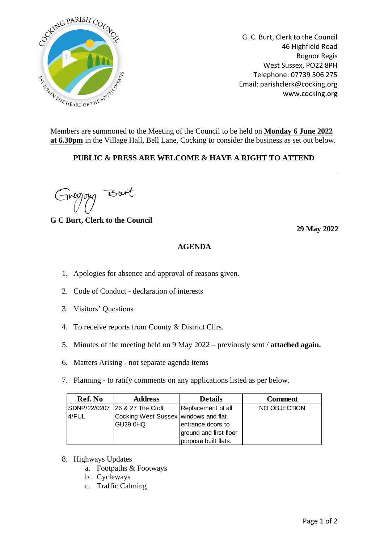

G. C. Burt, Clerk to the Council 46 Highfield Road Bognor Regis West Sussex, PO22 8PH Telephone: 07739 506 275 Email: parishclerk@cocking.org www.cocking.org

Members are summoned to the Meeting of the Council to be held on **Monday 6 June 2022 at 6.30pm** in the Village Hall, Bell Lane, Cocking to consider the business as set out below.

## **PUBLIC & PRESS ARE WELCOME & HAVE A RIGHT TO ATTEND**

But

**G C Burt, Clerk to the Council**

**29 May 2022**

## **AGENDA**

- 1. Apologies for absence and approval of reasons given.
- 2. Code of Conduct declaration of interests
- 3. Visitors' Questions
- 4. To receive reports from County & District Cllrs.
- 5. Minutes of the meeting held on 9 May 2022 previously sent / **attached again.**
- 6. Matters Arising not separate agenda items
- 7. Planning to ratify comments on any applications listed as per below.

| Ref. No      | <b>Address</b>                       | <b>Details</b>         | <b>Comment</b> |
|--------------|--------------------------------------|------------------------|----------------|
| SDNP/22/0207 | 26 & 27 The Croft                    | Replacement of all     | NO OBJECTION   |
| 4/FUL        | Cocking West Sussex windows and flat |                        |                |
|              | GU29 0HQ                             | entrance doors to      |                |
|              |                                      | ground and first floor |                |
|              |                                      | purpose built flats.   |                |

- 8. Highways Updates
	- a. Footpaths & Footways
	- b. Cycleways
	- c. Traffic Calming